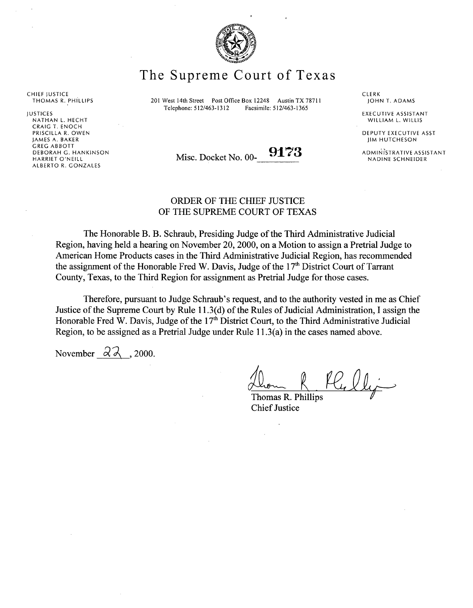

The Supreme Court of Texas

201 West 14th Street Post Office Box 12248 Austin TX 78711 Telephone: 512/463-1312 Facsimile: 512/463-1365

CLERK<br>JOHN T. ADAMS

EXECUTIVE ASSISTANT WILLIAM L. WILLIS

DEPUTY EXECUTIVE ASST JIM HUTCHESON

ADMINISTRATIVE ASSISTANT NADINE SCHNEIDER

Misc. Docket No. 00- 9173

## ORDER OF THE CHIEF JUSTICE OF THE SUPREME COURT OF TEXAS

The Honorable B. B. Schraub, Presiding Judge of the Third Administrative Judicial Region, having held a hearing on November 20, 2000, on a Motion to assign a Pretrial Judge to American Home Products cases in the Third Administrative Judicial Region, has recommended the assignment of the Honorable Fred W. Davis, Judge of the  $17<sup>th</sup>$  District Court of Tarrant County, Texas, to the Third Region for assignment as Pretrial Judge for those cases.

Therefore, pursuant to Judge Schraub's request, and to the authority vested in me as Chief Justice of the Supreme Court by Rule 11.3(d) of the Rules of Judicial Administration, I assign the Honorable Fred W. Davis, Judge of the  $17<sup>th</sup>$  District Court, to the Third Administrative Judicial Region, to be assigned as a Pretrial Judge under Rule 11.3(a) in the cases named above.

November  $\partial \lambda$ , 2000.

Thomas R. Phillips Chief **Justice**

CHIEF JUSTICE THOMAS R. PHILLIPS

JUSTICES NATHAN L. HECHT CRAIG T. ENOCH PRISCILLA R. OWEN JAMES A. BAKER GREG ABBOTT DEBORAH G. HANKINSON HARRIET O'NEILL ALBERTO R. GONZALES